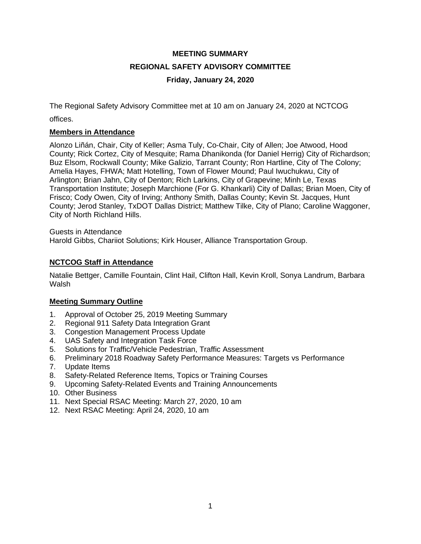# **MEETING SUMMARY REGIONAL SAFETY ADVISORY COMMITTEE Friday, January 24, 2020**

The Regional Safety Advisory Committee met at 10 am on January 24, 2020 at NCTCOG offices.

## **Members in Attendance**

Alonzo Liñán, Chair, City of Keller; Asma Tuly, Co-Chair, City of Allen; Joe Atwood, Hood County; Rick Cortez, City of Mesquite; Rama Dhanikonda (for Daniel Herrig) City of Richardson; Buz Elsom, Rockwall County; Mike Galizio, Tarrant County; Ron Hartline, City of The Colony; Amelia Hayes, FHWA; Matt Hotelling, Town of Flower Mound; Paul Iwuchukwu, City of Arlington; Brian Jahn, City of Denton; Rich Larkins, City of Grapevine; Minh Le, Texas Transportation Institute; Joseph Marchione (For G. Khankarli) City of Dallas; Brian Moen, City of Frisco; Cody Owen, City of Irving; Anthony Smith, Dallas County; Kevin St. Jacques, Hunt County; Jerod Stanley, TxDOT Dallas District; Matthew Tilke, City of Plano; Caroline Waggoner, City of North Richland Hills.

Guests in Attendance Harold Gibbs, Chariiot Solutions; Kirk Houser, Alliance Transportation Group.

## **NCTCOG Staff in Attendance**

Natalie Bettger, Camille Fountain, Clint Hail, Clifton Hall, Kevin Kroll, Sonya Landrum, Barbara Walsh

## **Meeting Summary Outline**

- 1. Approval of October 25, 2019 Meeting Summary
- 2. Regional 911 Safety Data Integration Grant
- 3. Congestion Management Process Update
- 4. UAS Safety and Integration Task Force
- 5. Solutions for Traffic/Vehicle Pedestrian, Traffic Assessment
- 6. Preliminary 2018 Roadway Safety Performance Measures: Targets vs Performance
- 7. Update Items
- 8. Safety-Related Reference Items, Topics or Training Courses
- 9. Upcoming Safety-Related Events and Training Announcements
- 10. Other Business
- 11. Next Special RSAC Meeting: March 27, 2020, 10 am
- 12. Next RSAC Meeting: April 24, 2020, 10 am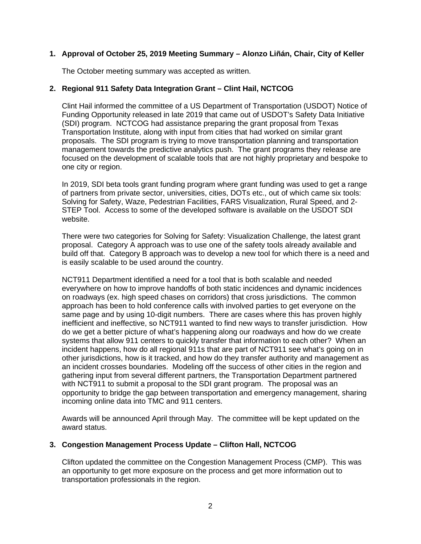## **1. Approval of October 25, 2019 Meeting Summary – Alonzo Liñán, Chair, City of Keller**

The October meeting summary was accepted as written.

## **2. Regional 911 Safety Data Integration Grant – Clint Hail, NCTCOG**

Clint Hail informed the committee of a US Department of Transportation (USDOT) Notice of Funding Opportunity released in late 2019 that came out of USDOT's Safety Data Initiative (SDI) program. NCTCOG had assistance preparing the grant proposal from Texas Transportation Institute, along with input from cities that had worked on similar grant proposals. The SDI program is trying to move transportation planning and transportation management towards the predictive analytics push. The grant programs they release are focused on the development of scalable tools that are not highly proprietary and bespoke to one city or region.

In 2019, SDI beta tools grant funding program where grant funding was used to get a range of partners from private sector, universities, cities, DOTs etc., out of which came six tools: Solving for Safety, Waze, Pedestrian Facilities, FARS Visualization, Rural Speed, and 2- STEP Tool. Access to some of the developed software is available on the USDOT SDI website.

There were two categories for Solving for Safety: Visualization Challenge, the latest grant proposal. Category A approach was to use one of the safety tools already available and build off that. Category B approach was to develop a new tool for which there is a need and is easily scalable to be used around the country.

NCT911 Department identified a need for a tool that is both scalable and needed everywhere on how to improve handoffs of both static incidences and dynamic incidences on roadways (ex. high speed chases on corridors) that cross jurisdictions. The common approach has been to hold conference calls with involved parties to get everyone on the same page and by using 10-digit numbers. There are cases where this has proven highly inefficient and ineffective, so NCT911 wanted to find new ways to transfer jurisdiction. How do we get a better picture of what's happening along our roadways and how do we create systems that allow 911 centers to quickly transfer that information to each other? When an incident happens, how do all regional 911s that are part of NCT911 see what's going on in other jurisdictions, how is it tracked, and how do they transfer authority and management as an incident crosses boundaries. Modeling off the success of other cities in the region and gathering input from several different partners, the Transportation Department partnered with NCT911 to submit a proposal to the SDI grant program. The proposal was an opportunity to bridge the gap between transportation and emergency management, sharing incoming online data into TMC and 911 centers.

Awards will be announced April through May. The committee will be kept updated on the award status.

## **3. Congestion Management Process Update – Clifton Hall, NCTCOG**

Clifton updated the committee on the Congestion Management Process (CMP). This was an opportunity to get more exposure on the process and get more information out to transportation professionals in the region.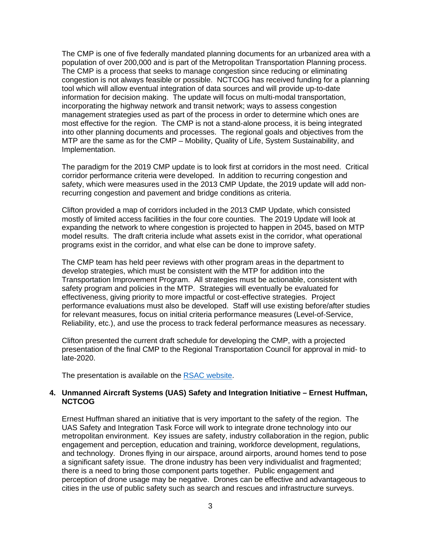The CMP is one of five federally mandated planning documents for an urbanized area with a population of over 200,000 and is part of the Metropolitan Transportation Planning process. The CMP is a process that seeks to manage congestion since reducing or eliminating congestion is not always feasible or possible. NCTCOG has received funding for a planning tool which will allow eventual integration of data sources and will provide up-to-date information for decision making. The update will focus on multi-modal transportation, incorporating the highway network and transit network; ways to assess congestion management strategies used as part of the process in order to determine which ones are most effective for the region. The CMP is not a stand-alone process, it is being integrated into other planning documents and processes. The regional goals and objectives from the MTP are the same as for the CMP – Mobility, Quality of Life, System Sustainability, and Implementation.

The paradigm for the 2019 CMP update is to look first at corridors in the most need. Critical corridor performance criteria were developed. In addition to recurring congestion and safety, which were measures used in the 2013 CMP Update, the 2019 update will add nonrecurring congestion and pavement and bridge conditions as criteria.

Clifton provided a map of corridors included in the 2013 CMP Update, which consisted mostly of limited access facilities in the four core counties. The 2019 Update will look at expanding the network to where congestion is projected to happen in 2045, based on MTP model results. The draft criteria include what assets exist in the corridor, what operational programs exist in the corridor, and what else can be done to improve safety.

The CMP team has held peer reviews with other program areas in the department to develop strategies, which must be consistent with the MTP for addition into the Transportation Improvement Program. All strategies must be actionable, consistent with safety program and policies in the MTP. Strategies will eventually be evaluated for effectiveness, giving priority to more impactful or cost-effective strategies. Project performance evaluations must also be developed. Staff will use existing before/after studies for relevant measures, focus on initial criteria performance measures (Level-of-Service, Reliability, etc.), and use the process to track federal performance measures as necessary.

Clifton presented the current draft schedule for developing the CMP, with a projected presentation of the final CMP to the Regional Transportation Council for approval in mid- to late-2020.

The presentation is available on the [RSAC website.](https://www.nctcog.org/trans/about/committees/regional-safety-advisory-committee)

#### **4. Unmanned Aircraft Systems (UAS) Safety and Integration Initiative – Ernest Huffman, NCTCOG**

Ernest Huffman shared an initiative that is very important to the safety of the region. The UAS Safety and Integration Task Force will work to integrate drone technology into our metropolitan environment. Key issues are safety, industry collaboration in the region, public engagement and perception, education and training, workforce development, regulations, and technology. Drones flying in our airspace, around airports, around homes tend to pose a significant safety issue. The drone industry has been very individualist and fragmented; there is a need to bring those component parts together. Public engagement and perception of drone usage may be negative. Drones can be effective and advantageous to cities in the use of public safety such as search and rescues and infrastructure surveys.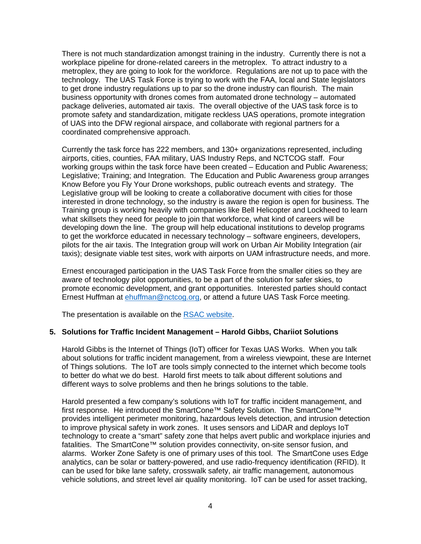There is not much standardization amongst training in the industry. Currently there is not a workplace pipeline for drone-related careers in the metroplex. To attract industry to a metroplex, they are going to look for the workforce. Regulations are not up to pace with the technology. The UAS Task Force is trying to work with the FAA, local and State legislators to get drone industry regulations up to par so the drone industry can flourish. The main business opportunity with drones comes from automated drone technology – automated package deliveries, automated air taxis. The overall objective of the UAS task force is to promote safety and standardization, mitigate reckless UAS operations, promote integration of UAS into the DFW regional airspace, and collaborate with regional partners for a coordinated comprehensive approach.

Currently the task force has 222 members, and 130+ organizations represented, including airports, cities, counties, FAA military, UAS Industry Reps, and NCTCOG staff. Four working groups within the task force have been created – Education and Public Awareness; Legislative; Training; and Integration. The Education and Public Awareness group arranges Know Before you Fly Your Drone workshops, public outreach events and strategy. The Legislative group will be looking to create a collaborative document with cities for those interested in drone technology, so the industry is aware the region is open for business. The Training group is working heavily with companies like Bell Helicopter and Lockheed to learn what skillsets they need for people to join that workforce, what kind of careers will be developing down the line. The group will help educational institutions to develop programs to get the workforce educated in necessary technology – software engineers, developers, pilots for the air taxis. The Integration group will work on Urban Air Mobility Integration (air taxis); designate viable test sites, work with airports on UAM infrastructure needs, and more.

Ernest encouraged participation in the UAS Task Force from the smaller cities so they are aware of technology pilot opportunities, to be a part of the solution for safer skies, to promote economic development, and grant opportunities. Interested parties should contact Ernest Huffman at [ehuffman@nctcog.org,](mailto:ehuffman@nctcog.org) or attend a future UAS Task Force meeting.

The presentation is available on the [RSAC website.](https://www.nctcog.org/trans/about/committees/regional-safety-advisory-committee)

#### **5. Solutions for Traffic Incident Management – Harold Gibbs, Chariiot Solutions**

Harold Gibbs is the Internet of Things (IoT) officer for Texas UAS Works. When you talk about solutions for traffic incident management, from a wireless viewpoint, these are Internet of Things solutions. The IoT are tools simply connected to the internet which become tools to better do what we do best. Harold first meets to talk about different solutions and different ways to solve problems and then he brings solutions to the table.

Harold presented a few company's solutions with IoT for traffic incident management, and first response. He introduced the SmartCone™ Safety Solution. The SmartCone™ provides intelligent perimeter monitoring, hazardous levels detection, and intrusion detection to improve physical safety in work zones. It uses sensors and LiDAR and deploys IoT technology to create a "smart" safety zone that helps avert public and workplace injuries and fatalities. The SmartCone™ solution provides connectivity, on-site sensor fusion, and alarms. Worker Zone Safety is one of primary uses of this tool. The SmartCone uses Edge analytics, can be solar or battery-powered, and use radio-frequency identification (RFID). It can be used for bike lane safety, crosswalk safety, air traffic management, autonomous vehicle solutions, and street level air quality monitoring. IoT can be used for asset tracking,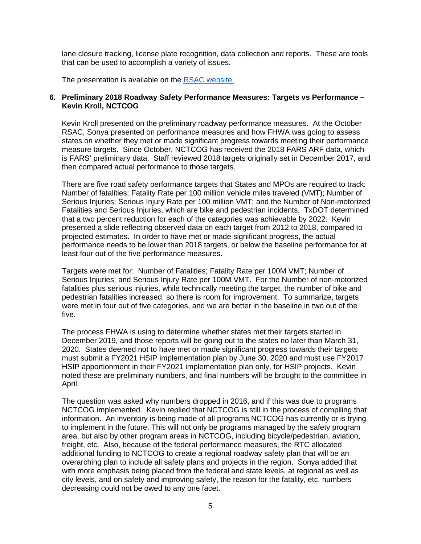lane closure tracking, license plate recognition, data collection and reports. These are tools that can be used to accomplish a variety of issues.

The presentation is available on the [RSAC website.](https://www.nctcog.org/trans/about/committees/regional-safety-advisory-committee)

#### **6. Preliminary 2018 Roadway Safety Performance Measures: Targets vs Performance – Kevin Kroll, NCTCOG**

Kevin Kroll presented on the preliminary roadway performance measures. At the October RSAC, Sonya presented on performance measures and how FHWA was going to assess states on whether they met or made significant progress towards meeting their performance measure targets. Since October, NCTCOG has received the 2018 FARS ARF data, which is FARS' preliminary data. Staff reviewed 2018 targets originally set in December 2017, and then compared actual performance to those targets.

There are five road safety performance targets that States and MPOs are required to track: Number of fatalities; Fatality Rate per 100 million vehicle miles traveled (VMT); Number of Serious Injuries; Serious Injury Rate per 100 million VMT; and the Number of Non-motorized Fatalities and Serious Injuries, which are bike and pedestrian incidents. TxDOT determined that a two percent reduction for each of the categories was achievable by 2022. Kevin presented a slide reflecting observed data on each target from 2012 to 2018, compared to projected estimates. In order to have met or made significant progress, the actual performance needs to be lower than 2018 targets, or below the baseline performance for at least four out of the five performance measures.

Targets were met for: Number of Fatalities; Fatality Rate per 100M VMT; Number of Serious Injuries; and Serious Injury Rate per 100M VMT. For the Number of non-motorized fatalities plus serious injuries, while technically meeting the target, the number of bike and pedestrian fatalities increased, so there is room for improvement. To summarize, targets were met in four out of five categories, and we are better in the baseline in two out of the five.

The process FHWA is using to determine whether states met their targets started in December 2019, and those reports will be going out to the states no later than March 31, 2020. States deemed not to have met or made significant progress towards their targets must submit a FY2021 HSIP implementation plan by June 30, 2020 and must use FY2017 HSIP apportionment in their FY2021 implementation plan only, for HSIP projects. Kevin noted these are preliminary numbers, and final numbers will be brought to the committee in April.

The question was asked why numbers dropped in 2016, and if this was due to programs NCTCOG implemented. Kevin replied that NCTCOG is still in the process of compiling that information. An inventory is being made of all programs NCTCOG has currently or is trying to implement in the future. This will not only be programs managed by the safety program area, but also by other program areas in NCTCOG, including bicycle/pedestrian, aviation, freight, etc. Also, because of the federal performance measures, the RTC allocated additional funding to NCTCOG to create a regional roadway safety plan that will be an overarching plan to include all safety plans and projects in the region. Sonya added that with more emphasis being placed from the federal and state levels, at regional as well as city levels, and on safety and improving safety, the reason for the fatality, etc. numbers decreasing could not be owed to any one facet.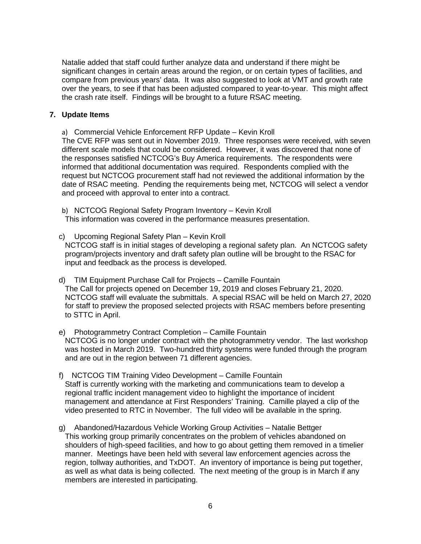Natalie added that staff could further analyze data and understand if there might be significant changes in certain areas around the region, or on certain types of facilities, and compare from previous years' data. It was also suggested to look at VMT and growth rate over the years, to see if that has been adjusted compared to year-to-year. This might affect the crash rate itself. Findings will be brought to a future RSAC meeting.

#### **7. Update Items**

a) Commercial Vehicle Enforcement RFP Update – Kevin Kroll

The CVE RFP was sent out in November 2019. Three responses were received, with seven different scale models that could be considered. However, it was discovered that none of the responses satisfied NCTCOG's Buy America requirements. The respondents were informed that additional documentation was required. Respondents complied with the request but NCTCOG procurement staff had not reviewed the additional information by the date of RSAC meeting. Pending the requirements being met, NCTCOG will select a vendor and proceed with approval to enter into a contract.

b) NCTCOG Regional Safety Program Inventory – Kevin Kroll This information was covered in the performance measures presentation.

- c) Upcoming Regional Safety Plan Kevin Kroll NCTCOG staff is in initial stages of developing a regional safety plan. An NCTCOG safety program/projects inventory and draft safety plan outline will be brought to the RSAC for input and feedback as the process is developed.
- d) TIM Equipment Purchase Call for Projects Camille Fountain The Call for projects opened on December 19, 2019 and closes February 21, 2020. NCTCOG staff will evaluate the submittals. A special RSAC will be held on March 27, 2020 for staff to preview the proposed selected projects with RSAC members before presenting to STTC in April.
- e) Photogrammetry Contract Completion Camille Fountain NCTCOG is no longer under contract with the photogrammetry vendor. The last workshop was hosted in March 2019. Two-hundred thirty systems were funded through the program and are out in the region between 71 different agencies.
- f) NCTCOG TIM Training Video Development Camille Fountain Staff is currently working with the marketing and communications team to develop a regional traffic incident management video to highlight the importance of incident management and attendance at First Responders' Training. Camille played a clip of the video presented to RTC in November. The full video will be available in the spring.
- g) Abandoned/Hazardous Vehicle Working Group Activities Natalie Bettger This working group primarily concentrates on the problem of vehicles abandoned on shoulders of high-speed facilities, and how to go about getting them removed in a timelier manner. Meetings have been held with several law enforcement agencies across the region, tollway authorities, and TxDOT. An inventory of importance is being put together, as well as what data is being collected. The next meeting of the group is in March if any members are interested in participating.